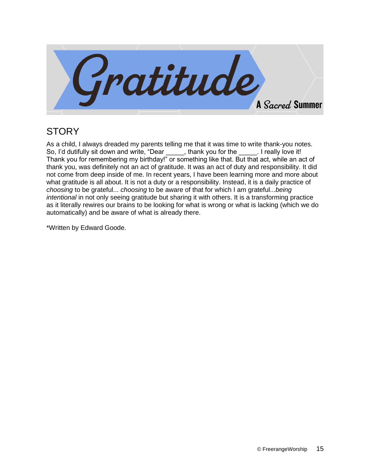

## **STORY**

As a child, I always dreaded my parents telling me that it was time to write thank-you notes. So, I'd dutifully sit down and write, "Dear , thank you for the . I really love it! Thank you for remembering my birthday!" or something like that. But that act, while an act of thank you, was definitely not an act of gratitude. It was an act of duty and responsibility. It did not come from deep inside of me. In recent years, I have been learning more and more about what gratitude is all about. It is not a duty or a responsibility. Instead, it is a daily practice of *choosing* to be grateful... *choosing* to be aware of that for which I am grateful...*being intentional* in not only seeing gratitude but sharing it with others. It is a transforming practice as it literally rewires our brains to be looking for what is wrong or what is lacking (which we do automatically) and be aware of what is already there.

\*Written by Edward Goode.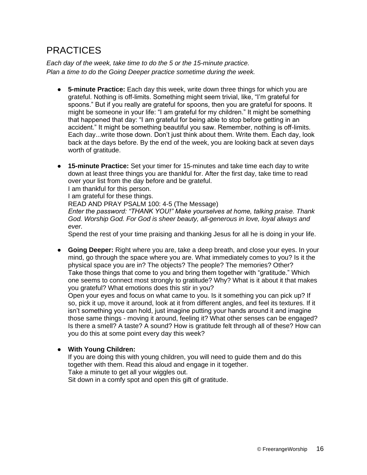# **PRACTICES**

*Each day of the week, take time to do the 5 or the 15-minute practice. Plan a time to do the Going Deeper practice sometime during the week.*

- **5-minute Practice:** Each day this week, write down three things for which you are grateful. Nothing is off-limits. Something might seem trivial, like, "I'm grateful for spoons." But if you really are grateful for spoons, then you are grateful for spoons. It might be someone in your life: "I am grateful for my children." It might be something that happened that day: "I am grateful for being able to stop before getting in an accident." It might be something beautiful you saw. Remember, nothing is off-limits. Each day...write those down. Don't just think about them. Write them. Each day, look back at the days before. By the end of the week, you are looking back at seven days worth of gratitude.
- **15-minute Practice:** Set your timer for 15-minutes and take time each day to write down at least three things you are thankful for. After the first day, take time to read over your list from the day before and be grateful.

I am thankful for this person.

I am grateful for these things.

READ AND PRAY PSALM 100: 4-5 (The Message)

*Enter the password: "THANK YOU!" Make yourselves at home, talking praise. Thank God. Worship God. For God is sheer beauty, all-generous in love, loyal always and ever.* 

Spend the rest of your time praising and thanking Jesus for all he is doing in your life.

● **Going Deeper:** Right where you are, take a deep breath, and close your eyes. In your mind, go through the space where you are. What immediately comes to you? Is it the physical space you are in? The objects? The people? The memories? Other? Take those things that come to you and bring them together with "gratitude." Which one seems to connect most strongly to gratitude? Why? What is it about it that makes you grateful? What emotions does this stir in you?

Open your eyes and focus on what came to you. Is it something you can pick up? If so, pick it up, move it around, look at it from different angles, and feel its textures. If it isn't something you can hold, just imagine putting your hands around it and imagine those same things - moving it around, feeling it? What other senses can be engaged? Is there a smell? A taste? A sound? How is gratitude felt through all of these? How can you do this at some point every day this week?

#### ● **With Young Children:**

If you are doing this with young children, you will need to guide them and do this together with them. Read this aloud and engage in it together. Take a minute to get all your wiggles out.

Sit down in a comfy spot and open this gift of gratitude.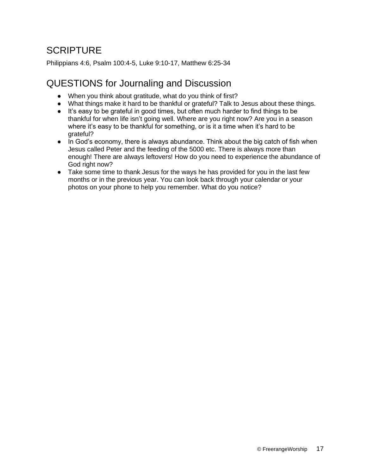# **SCRIPTURE**

Philippians 4:6, Psalm 100:4-5, Luke 9:10-17, Matthew 6:25-34

### QUESTIONS for Journaling and Discussion

- When you think about gratitude, what do you think of first?
- What things make it hard to be thankful or grateful? Talk to Jesus about these things.
- It's easy to be grateful in good times, but often much harder to find things to be thankful for when life isn't going well. Where are you right now? Are you in a season where it's easy to be thankful for something, or is it a time when it's hard to be grateful?
- In God's economy, there is always abundance. Think about the big catch of fish when Jesus called Peter and the feeding of the 5000 etc. There is always more than enough! There are always leftovers! How do you need to experience the abundance of God right now?
- Take some time to thank Jesus for the ways he has provided for you in the last few months or in the previous year. You can look back through your calendar or your photos on your phone to help you remember. What do you notice?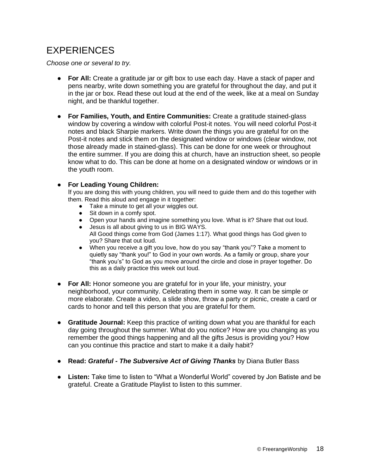# EXPERIENCES

*Choose one or several to try.*

- **For All:** Create a gratitude jar or gift box to use each day. Have a stack of paper and pens nearby, write down something you are grateful for throughout the day, and put it in the jar or box. Read these out loud at the end of the week, like at a meal on Sunday night, and be thankful together.
- **For Families, Youth, and Entire Communities:** Create a gratitude stained-glass window by covering a window with colorful Post-it notes. You will need colorful Post-it notes and black Sharpie markers. Write down the things you are grateful for on the Post-it notes and stick them on the designated window or windows (clear window, not those already made in stained-glass). This can be done for one week or throughout the entire summer. If you are doing this at church, have an instruction sheet, so people know what to do. This can be done at home on a designated window or windows or in the youth room.

#### ● **For Leading Young Children:**

If you are doing this with young children, you will need to guide them and do this together with them. Read this aloud and engage in it together:

- Take a minute to get all your wiggles out.
- Sit down in a comfy spot.
- Open your hands and imagine something you love. What is it? Share that out loud.
- Jesus is all about giving to us in BIG WAYS. All Good things come from God (James 1:17). What good things has God given to you? Share that out loud.
- When you receive a gift you love, how do you say "thank you"? Take a moment to quietly say "thank you!" to God in your own words. As a family or group, share your "thank you's" to God as you move around the circle and close in prayer together. Do this as a daily practice this week out loud.
- **For All:** Honor someone you are grateful for in your life, your ministry, your neighborhood, your community. Celebrating them in some way. It can be simple or more elaborate. Create a video, a slide show, throw a party or picnic, create a card or cards to honor and tell this person that you are grateful for them.
- **Gratitude Journal:** Keep this practice of writing down what you are thankful for each day going throughout the summer. What do you notice? How are you changing as you remember the good things happening and all the gifts Jesus is providing you? How can you continue this practice and start to make it a daily habit?
- **Read:** *Grateful - The Subversive Act of Giving Thanks* by Diana Butler Bass
- **Listen:** Take time to listen to "What a Wonderful World" covered by Jon Batiste and be grateful. Create a Gratitude Playlist to listen to this summer.